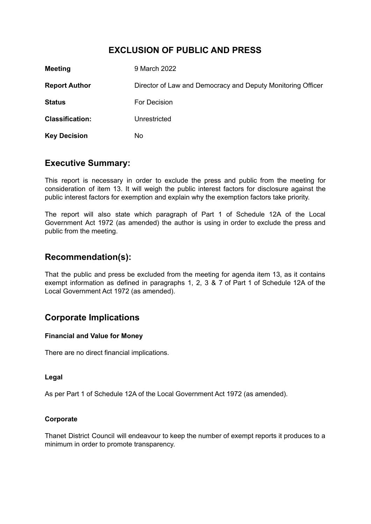# **EXCLUSION OF PUBLIC AND PRESS**

| <b>Meeting</b>         | 9 March 2022                                                |
|------------------------|-------------------------------------------------------------|
| <b>Report Author</b>   | Director of Law and Democracy and Deputy Monitoring Officer |
| <b>Status</b>          | For Decision                                                |
| <b>Classification:</b> | Unrestricted                                                |
| <b>Key Decision</b>    | No                                                          |

## **Executive Summary:**

This report is necessary in order to exclude the press and public from the meeting for consideration of item 13. It will weigh the public interest factors for disclosure against the public interest factors for exemption and explain why the exemption factors take priority.

The report will also state which paragraph of Part 1 of Schedule 12A of the Local Government Act 1972 (as amended) the author is using in order to exclude the press and public from the meeting.

## **Recommendation(s):**

That the public and press be excluded from the meeting for agenda item 13, as it contains exempt information as defined in paragraphs 1, 2, 3 & 7 of Part 1 of Schedule 12A of the Local Government Act 1972 (as amended).

# **Corporate Implications**

### **Financial and Value for Money**

There are no direct financial implications.

#### **Legal**

As per Part 1 of Schedule 12A of the Local Government Act 1972 (as amended).

#### **Corporate**

Thanet District Council will endeavour to keep the number of exempt reports it produces to a minimum in order to promote transparency.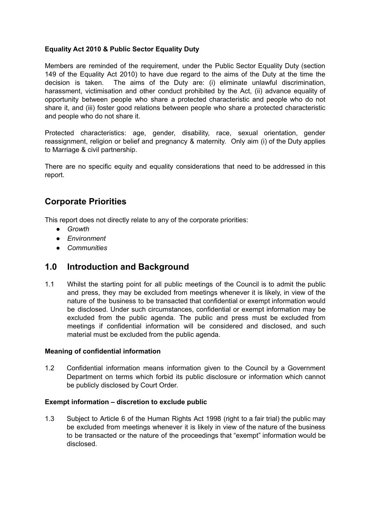### **Equality Act 2010 & Public Sector Equality Duty**

Members are reminded of the requirement, under the Public Sector Equality Duty (section 149 of the Equality Act 2010) to have due regard to the aims of the Duty at the time the decision is taken. The aims of the Duty are: (i) eliminate unlawful discrimination, harassment, victimisation and other conduct prohibited by the Act, (ii) advance equality of opportunity between people who share a protected characteristic and people who do not share it, and (iii) foster good relations between people who share a protected characteristic and people who do not share it.

Protected characteristics: age, gender, disability, race, sexual orientation, gender reassignment, religion or belief and pregnancy & maternity. Only aim (i) of the Duty applies to Marriage & civil partnership.

There are no specific equity and equality considerations that need to be addressed in this report.

## **Corporate Priorities**

This report does not directly relate to any of the corporate priorities:

- *● Growth*
- *● Environment*
- *● Communities*

### **1.0 Introduction and Background**

1.1 Whilst the starting point for all public meetings of the Council is to admit the public and press, they may be excluded from meetings whenever it is likely, in view of the nature of the business to be transacted that confidential or exempt information would be disclosed. Under such circumstances, confidential or exempt information may be excluded from the public agenda. The public and press must be excluded from meetings if confidential information will be considered and disclosed, and such material must be excluded from the public agenda.

#### **Meaning of confidential information**

1.2 Confidential information means information given to the Council by a Government Department on terms which forbid its public disclosure or information which cannot be publicly disclosed by Court Order.

#### **Exempt information – discretion to exclude public**

1.3 Subject to Article 6 of the Human Rights Act 1998 (right to a fair trial) the public may be excluded from meetings whenever it is likely in view of the nature of the business to be transacted or the nature of the proceedings that "exempt" information would be disclosed.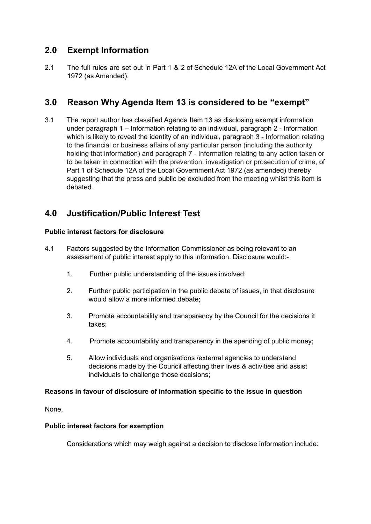# **2.0 Exempt Information**

2.1 The full rules are set out in Part 1 & 2 of Schedule 12A of the Local Government Act 1972 (as Amended).

# **3.0 Reason Why Agenda Item 13 is considered to be "exempt"**

3.1 The report author has classified Agenda Item 13 as disclosing exempt information under paragraph 1 – Information relating to an individual, paragraph 2 - Information which is likely to reveal the identity of an individual, paragraph 3 - Information relating to the financial or business affairs of any particular person (including the authority holding that information) and paragraph 7 - Information relating to any action taken or to be taken in connection with the prevention, investigation or prosecution of crime, of Part 1 of Schedule 12A of the Local Government Act 1972 (as amended) thereby suggesting that the press and public be excluded from the meeting whilst this item is debated.

# **4.0 Justification/Public Interest Test**

### **Public interest factors for disclosure**

- 4.1 Factors suggested by the Information Commissioner as being relevant to an assessment of public interest apply to this information. Disclosure would:-
	- 1. Further public understanding of the issues involved;
	- 2. Further public participation in the public debate of issues, in that disclosure would allow a more informed debate;
	- 3. Promote accountability and transparency by the Council for the decisions it takes;
	- 4. Promote accountability and transparency in the spending of public money;
	- 5. Allow individuals and organisations /external agencies to understand decisions made by the Council affecting their lives & activities and assist individuals to challenge those decisions;

#### **Reasons in favour of disclosure of information specific to the issue in question**

None.

#### **Public interest factors for exemption**

Considerations which may weigh against a decision to disclose information include: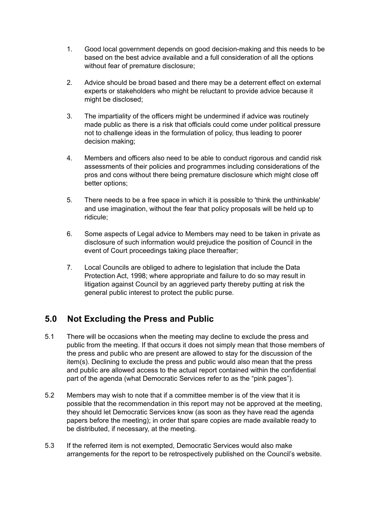- 1. Good local government depends on good decision-making and this needs to be based on the best advice available and a full consideration of all the options without fear of premature disclosure;
- 2. Advice should be broad based and there may be a deterrent effect on external experts or stakeholders who might be reluctant to provide advice because it might be disclosed;
- 3. The impartiality of the officers might be undermined if advice was routinely made public as there is a risk that officials could come under political pressure not to challenge ideas in the formulation of policy, thus leading to poorer decision making;
- 4. Members and officers also need to be able to conduct rigorous and candid risk assessments of their policies and programmes including considerations of the pros and cons without there being premature disclosure which might close off better options;
- 5. There needs to be a free space in which it is possible to 'think the unthinkable' and use imagination, without the fear that policy proposals will be held up to ridicule;
- 6. Some aspects of Legal advice to Members may need to be taken in private as disclosure of such information would prejudice the position of Council in the event of Court proceedings taking place thereafter;
- 7. Local Councils are obliged to adhere to legislation that include the Data Protection Act, 1998; where appropriate and failure to do so may result in litigation against Council by an aggrieved party thereby putting at risk the general public interest to protect the public purse.

# **5.0 Not Excluding the Press and Public**

- 5.1 There will be occasions when the meeting may decline to exclude the press and public from the meeting. If that occurs it does not simply mean that those members of the press and public who are present are allowed to stay for the discussion of the item(s). Declining to exclude the press and public would also mean that the press and public are allowed access to the actual report contained within the confidential part of the agenda (what Democratic Services refer to as the "pink pages").
- 5.2 Members may wish to note that if a committee member is of the view that it is possible that the recommendation in this report may not be approved at the meeting, they should let Democratic Services know (as soon as they have read the agenda papers before the meeting); in order that spare copies are made available ready to be distributed, if necessary, at the meeting.
- 5.3 If the referred item is not exempted, Democratic Services would also make arrangements for the report to be retrospectively published on the Council's website.